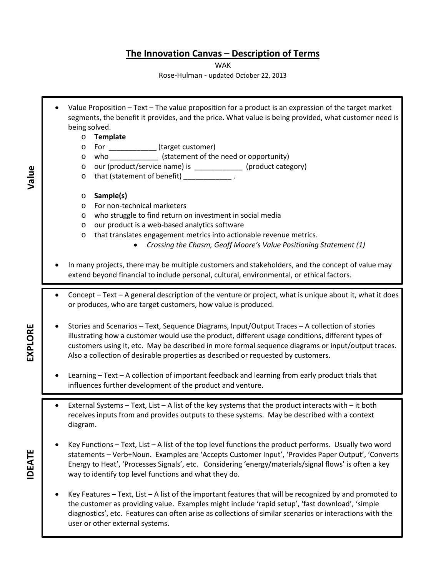## **The Innovation Canvas – Description of Terms**

WAK

Rose-Hulman - updated October 22, 2013

• Value Proposition – Text – The value proposition for a product is an expression of the target market segments, the benefit it provides, and the price. What value is being provided, what customer need is being solved. o **Template** o For \_\_\_\_\_\_\_\_\_\_\_\_ (target customer) o who \_\_\_\_\_\_\_\_\_\_\_\_ (statement of the need or opportunity) o our (product/service name) is \_\_\_\_\_\_\_\_\_\_\_\_ (product category) o that (statement of benefit) \_\_\_\_\_\_\_\_\_\_\_\_\_\_\_. o **Sample(s)** o For non-technical marketers o who struggle to find return on investment in social media o our product is a web-based analytics software o that translates engagement metrics into actionable revenue metrics. • *Crossing the Chasm, Geoff Moore's Value Positioning Statement (1)* • In many projects, there may be multiple customers and stakeholders, and the concept of value may extend beyond financial to include personal, cultural, environmental, or ethical factors. • Concept – Text – A general description of the venture or project, what is unique about it, what it does or produces, who are target customers, how value is produced. • Stories and Scenarios – Text, Sequence Diagrams, Input/Output Traces – A collection of stories illustrating how a customer would use the product, different usage conditions, different types of customers using it, etc. May be described in more formal sequence diagrams or input/output traces. Also a collection of desirable properties as described or requested by customers. • Learning – Text – A collection of important feedback and learning from early product trials that influences further development of the product and venture. • External Systems – Text, List – A list of the key systems that the product interacts with – it both receives inputs from and provides outputs to these systems. May be described with a context diagram. • Key Functions – Text, List – A list of the top level functions the product performs. Usually two word statements – Verb+Noun. Examples are 'Accepts Customer Input', 'Provides Paper Output', 'Converts Energy to Heat', 'Processes Signals', etc. Considering 'energy/materials/signal flows' is often a key way to identify top level functions and what they do. Key Features – Text, List – A list of the important features that will be recognized by and promoted to the customer as providing value. Examples might include 'rapid setup', 'fast download', 'simple diagnostics', etc. Features can often arise as collections of similar scenarios or interactions with the user or other external systems.

EXPLORE **EXPLORE**

**IDEATE**